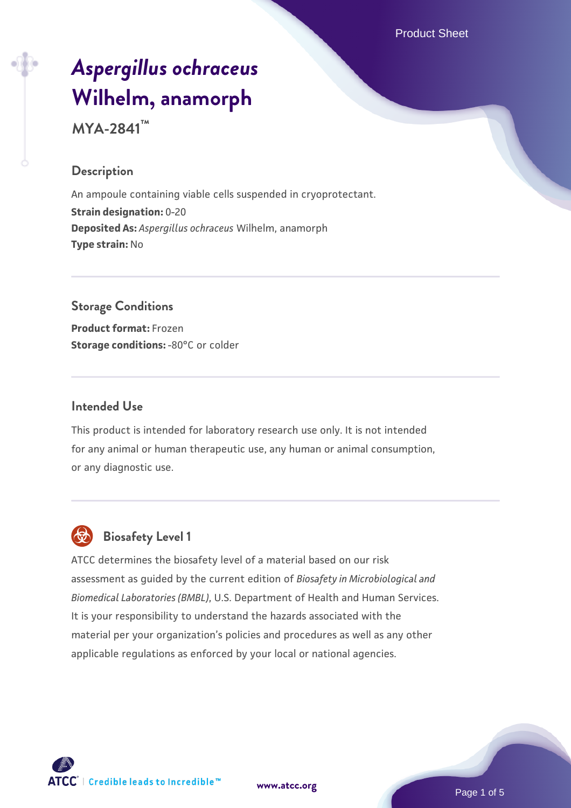Product Sheet

# *[Aspergillus ochraceus](https://www.atcc.org/products/mya-2841)* **[Wilhelm, anamorph](https://www.atcc.org/products/mya-2841)**

**MYA-2841™**

#### **Description**

An ampoule containing viable cells suspended in cryoprotectant. **Strain designation:** 0-20 **Deposited As:** *Aspergillus ochraceus* Wilhelm, anamorph **Type strain:** No

# **Storage Conditions**

**Product format:** Frozen **Storage conditions: -80°C or colder** 

#### **Intended Use**

This product is intended for laboratory research use only. It is not intended for any animal or human therapeutic use, any human or animal consumption, or any diagnostic use.



# **Biosafety Level 1**

ATCC determines the biosafety level of a material based on our risk assessment as guided by the current edition of *Biosafety in Microbiological and Biomedical Laboratories (BMBL)*, U.S. Department of Health and Human Services. It is your responsibility to understand the hazards associated with the material per your organization's policies and procedures as well as any other applicable regulations as enforced by your local or national agencies.

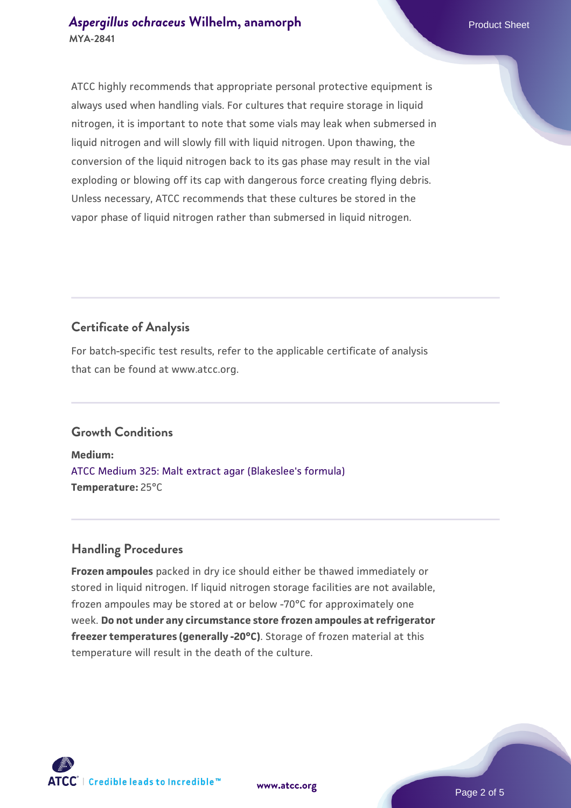ATCC highly recommends that appropriate personal protective equipment is always used when handling vials. For cultures that require storage in liquid nitrogen, it is important to note that some vials may leak when submersed in liquid nitrogen and will slowly fill with liquid nitrogen. Upon thawing, the conversion of the liquid nitrogen back to its gas phase may result in the vial exploding or blowing off its cap with dangerous force creating flying debris. Unless necessary, ATCC recommends that these cultures be stored in the vapor phase of liquid nitrogen rather than submersed in liquid nitrogen.

## **Certificate of Analysis**

For batch-specific test results, refer to the applicable certificate of analysis that can be found at www.atcc.org.

#### **Growth Conditions**

**Medium:**  [ATCC Medium 325: Malt extract agar \(Blakeslee's formula\)](https://www.atcc.org/-/media/product-assets/documents/microbial-media-formulations/3/2/5/atcc-medium-325.pdf?rev=146ec77015184a96912232dcb12386f9) **Temperature:** 25°C

#### **Handling Procedures**

**Frozen ampoules** packed in dry ice should either be thawed immediately or stored in liquid nitrogen. If liquid nitrogen storage facilities are not available, frozen ampoules may be stored at or below -70°C for approximately one week. **Do not under any circumstance store frozen ampoules at refrigerator freezer temperatures (generally -20°C)**. Storage of frozen material at this temperature will result in the death of the culture.

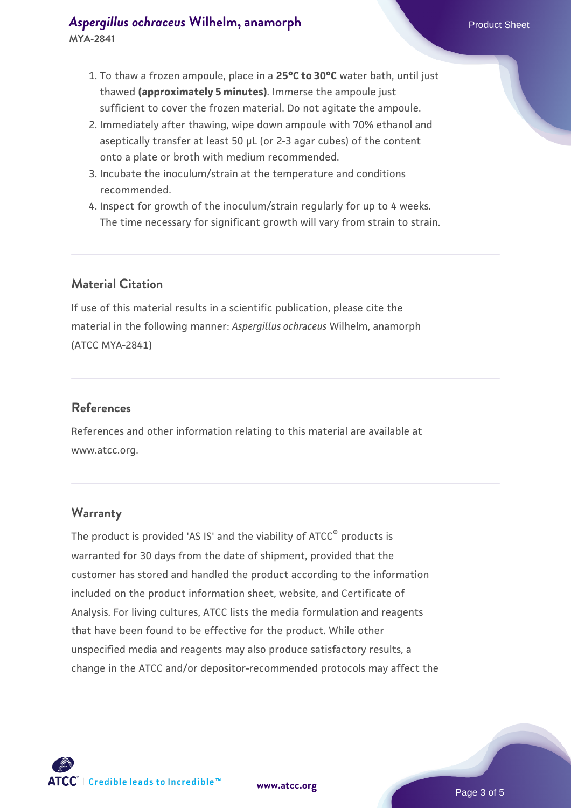- 2. Immediately after thawing, wipe down ampoule with 70% ethanol and aseptically transfer at least 50 µL (or 2-3 agar cubes) of the content onto a plate or broth with medium recommended.
- 3. Incubate the inoculum/strain at the temperature and conditions recommended.
- 4. Inspect for growth of the inoculum/strain regularly for up to 4 weeks. The time necessary for significant growth will vary from strain to strain.

## **Material Citation**

If use of this material results in a scientific publication, please cite the material in the following manner: *Aspergillus ochraceus* Wilhelm, anamorph (ATCC MYA-2841)

#### **References**

References and other information relating to this material are available at www.atcc.org.

#### **Warranty**

The product is provided 'AS IS' and the viability of ATCC® products is warranted for 30 days from the date of shipment, provided that the customer has stored and handled the product according to the information included on the product information sheet, website, and Certificate of Analysis. For living cultures, ATCC lists the media formulation and reagents that have been found to be effective for the product. While other unspecified media and reagents may also produce satisfactory results, a change in the ATCC and/or depositor-recommended protocols may affect the

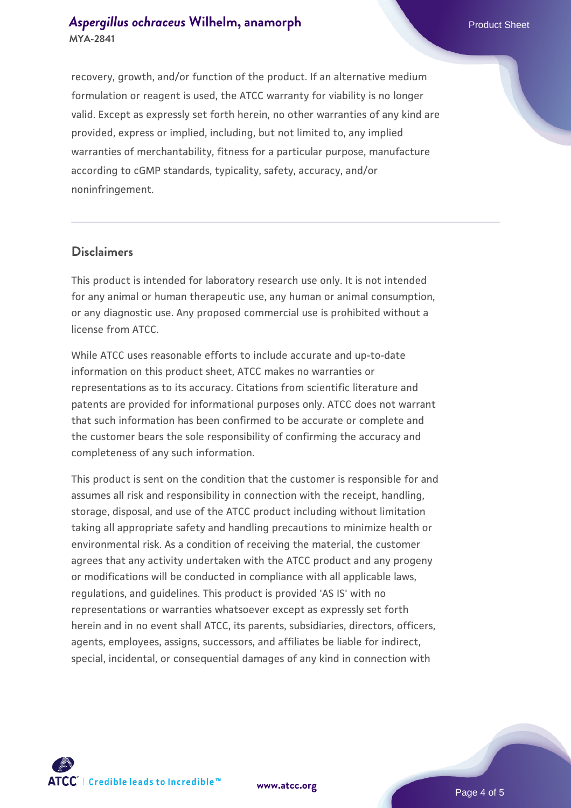#### **[Aspergillus ochraceus](https://www.atcc.org/products/mya-2841) [Wilhelm, anamorph](https://www.atcc.org/products/mya-2841)** Product Sheet **MYA-2841**

recovery, growth, and/or function of the product. If an alternative medium formulation or reagent is used, the ATCC warranty for viability is no longer valid. Except as expressly set forth herein, no other warranties of any kind are provided, express or implied, including, but not limited to, any implied warranties of merchantability, fitness for a particular purpose, manufacture according to cGMP standards, typicality, safety, accuracy, and/or noninfringement.

#### **Disclaimers**

This product is intended for laboratory research use only. It is not intended for any animal or human therapeutic use, any human or animal consumption, or any diagnostic use. Any proposed commercial use is prohibited without a license from ATCC.

While ATCC uses reasonable efforts to include accurate and up-to-date information on this product sheet, ATCC makes no warranties or representations as to its accuracy. Citations from scientific literature and patents are provided for informational purposes only. ATCC does not warrant that such information has been confirmed to be accurate or complete and the customer bears the sole responsibility of confirming the accuracy and completeness of any such information.

This product is sent on the condition that the customer is responsible for and assumes all risk and responsibility in connection with the receipt, handling, storage, disposal, and use of the ATCC product including without limitation taking all appropriate safety and handling precautions to minimize health or environmental risk. As a condition of receiving the material, the customer agrees that any activity undertaken with the ATCC product and any progeny or modifications will be conducted in compliance with all applicable laws, regulations, and guidelines. This product is provided 'AS IS' with no representations or warranties whatsoever except as expressly set forth herein and in no event shall ATCC, its parents, subsidiaries, directors, officers, agents, employees, assigns, successors, and affiliates be liable for indirect, special, incidental, or consequential damages of any kind in connection with



**[www.atcc.org](http://www.atcc.org)**

Page 4 of 5